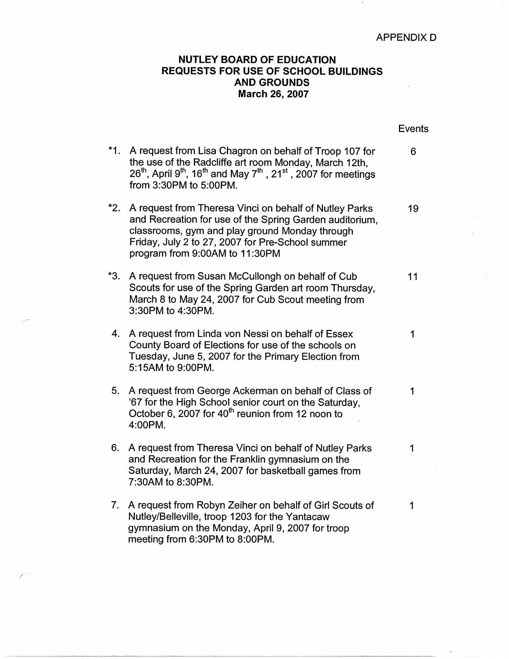## APPENDIX D

## **NUTLEY BOARD OF EDUCATION REQUESTS FOR USE OF SCHOOL BUILDINGS AND GROUNDS March 26, 2007**

|     |                                                                                                                                                                                                                                                               | <b>Events</b> |
|-----|---------------------------------------------------------------------------------------------------------------------------------------------------------------------------------------------------------------------------------------------------------------|---------------|
| *1. | A request from Lisa Chagron on behalf of Troop 107 for<br>the use of the Radcliffe art room Monday, March 12th,<br>$26th$ , April 9 <sup>th</sup> , 16 <sup>th</sup> and May 7 <sup>th</sup> , 21 <sup>st</sup> , 2007 for meetings<br>from 3:30PM to 5:00PM. | 6             |
| *2. | A request from Theresa Vinci on behalf of Nutley Parks<br>and Recreation for use of the Spring Garden auditorium,<br>classrooms, gym and play ground Monday through<br>Friday, July 2 to 27, 2007 for Pre-School summer<br>program from 9:00AM to 11:30PM     | 19            |
| *3. | A request from Susan McCullongh on behalf of Cub<br>Scouts for use of the Spring Garden art room Thursday,<br>March 8 to May 24, 2007 for Cub Scout meeting from<br>3:30PM to 4:30PM.                                                                         | 11            |
| 4.  | A request from Linda von Nessi on behalf of Essex<br>County Board of Elections for use of the schools on<br>Tuesday, June 5, 2007 for the Primary Election from<br>5:15AM to 9:00PM.                                                                          | 1             |
| 5.  | A request from George Ackerman on behalf of Class of<br>'67 for the High School senior court on the Saturday,<br>October 6, 2007 for 40 <sup>th</sup> reunion from 12 noon to<br>4:00PM.                                                                      | 1             |
| 6.  | A request from Theresa Vinci on behalf of Nutley Parks<br>and Recreation for the Franklin gymnasium on the<br>Saturday, March 24, 2007 for basketball games from<br>7:30AM to 8:30PM.                                                                         | 1             |
| 7.  | A request from Robyn Zeiher on behalf of Girl Scouts of<br>Nutley/Belleville, troop 1203 for the Yantacaw<br>gymnasium on the Monday, April 9, 2007 for troop<br>meeting from 6:30PM to 8:00PM.                                                               | 1             |

/